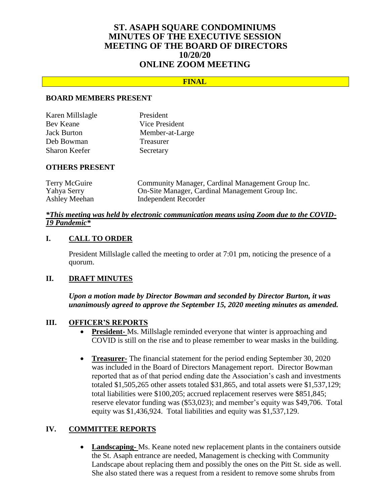## **ST. ASAPH SQUARE CONDOMINIUMS MINUTES OF THE EXECUTIVE SESSION MEETING OF THE BOARD OF DIRECTORS 10/20/20 ONLINE ZOOM MEETING**

### **FINAL**

### **BOARD MEMBERS PRESENT**

| Karen Millslagle     | President        |
|----------------------|------------------|
| Bev Keane            | Vice President   |
| <b>Jack Burton</b>   | Member-at-Large  |
| Deb Bowman           | <b>Treasurer</b> |
| <b>Sharon Keefer</b> | Secretary        |

#### **OTHERS PRESENT**

| Terry McGuire | Community Manager, Cardinal Management Group Inc. |
|---------------|---------------------------------------------------|
| Yahya Serry   | On-Site Manager, Cardinal Management Group Inc.   |
| Ashley Meehan | Independent Recorder                              |

### *\*This meeting was held by electronic communication means using Zoom due to the COVID-19 Pandemic\**

### **I. CALL TO ORDER**

President Millslagle called the meeting to order at 7:01 pm, noticing the presence of a quorum.

### **II. DRAFT MINUTES**

*Upon a motion made by Director Bowman and seconded by Director Burton, it was unanimously agreed to approve the September 15, 2020 meeting minutes as amended.*

### **III. OFFICER'S REPORTS**

- **President-** Ms. Millslagle reminded everyone that winter is approaching and COVID is still on the rise and to please remember to wear masks in the building.
- **Treasurer-** The financial statement for the period ending September 30, 2020 was included in the Board of Directors Management report. Director Bowman reported that as of that period ending date the Association's cash and investments totaled \$1,505,265 other assets totaled \$31,865, and total assets were \$1,537,129; total liabilities were \$100,205; accrued replacement reserves were \$851,845; reserve elevator funding was (\$53,023); and member's equity was \$49,706. Total equity was \$1,436,924. Total liabilities and equity was \$1,537,129.

### **IV. COMMITTEE REPORTS**

 **Landscaping-** Ms. Keane noted new replacement plants in the containers outside the St. Asaph entrance are needed, Management is checking with Community Landscape about replacing them and possibly the ones on the Pitt St. side as well. She also stated there was a request from a resident to remove some shrubs from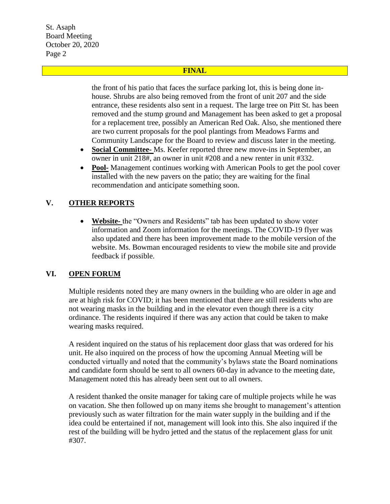St. Asaph Board Meeting October 20, 2020 Page 2

### **FINAL**

the front of his patio that faces the surface parking lot, this is being done inhouse. Shrubs are also being removed from the front of unit 207 and the side entrance, these residents also sent in a request. The large tree on Pitt St. has been removed and the stump ground and Management has been asked to get a proposal for a replacement tree, possibly an American Red Oak. Also, she mentioned there are two current proposals for the pool plantings from Meadows Farms and Community Landscape for the Board to review and discuss later in the meeting.

- **Social Committee-** Ms. Keefer reported three new move-ins in September, an owner in unit 218#, an owner in unit #208 and a new renter in unit #332.
- **Pool-** Management continues working with American Pools to get the pool cover installed with the new pavers on the patio; they are waiting for the final recommendation and anticipate something soon.

# **V. OTHER REPORTS**

 **Website-** the "Owners and Residents" tab has been updated to show voter information and Zoom information for the meetings. The COVID-19 flyer was also updated and there has been improvement made to the mobile version of the website. Ms. Bowman encouraged residents to view the mobile site and provide feedback if possible.

## **VI. OPEN FORUM**

Multiple residents noted they are many owners in the building who are older in age and are at high risk for COVID; it has been mentioned that there are still residents who are not wearing masks in the building and in the elevator even though there is a city ordinance. The residents inquired if there was any action that could be taken to make wearing masks required.

A resident inquired on the status of his replacement door glass that was ordered for his unit. He also inquired on the process of how the upcoming Annual Meeting will be conducted virtually and noted that the community's bylaws state the Board nominations and candidate form should be sent to all owners 60-day in advance to the meeting date, Management noted this has already been sent out to all owners.

A resident thanked the onsite manager for taking care of multiple projects while he was on vacation. She then followed up on many items she brought to management's attention previously such as water filtration for the main water supply in the building and if the idea could be entertained if not, management will look into this. She also inquired if the rest of the building will be hydro jetted and the status of the replacement glass for unit #307.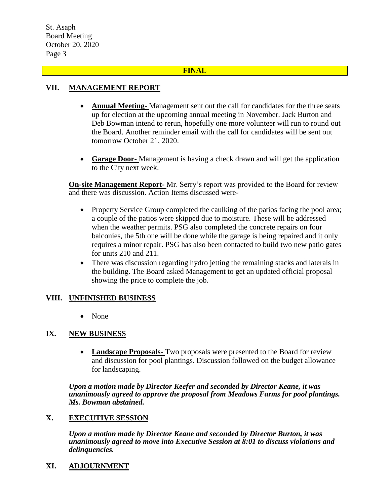St. Asaph Board Meeting October 20, 2020 Page 3

### **FINAL**

## **VII. MANAGEMENT REPORT**

- **Annual Meeting-** Management sent out the call for candidates for the three seats up for election at the upcoming annual meeting in November. Jack Burton and Deb Bowman intend to rerun, hopefully one more volunteer will run to round out the Board. Another reminder email with the call for candidates will be sent out tomorrow October 21, 2020.
- **Garage Door-** Management is having a check drawn and will get the application to the City next week.

**On-site Management Report-** Mr. Serry's report was provided to the Board for review and there was discussion. Action Items discussed were-

- Property Service Group completed the caulking of the patios facing the pool area; a couple of the patios were skipped due to moisture. These will be addressed when the weather permits. PSG also completed the concrete repairs on four balconies, the 5th one will be done while the garage is being repaired and it only requires a minor repair. PSG has also been contacted to build two new patio gates for units 210 and 211.
- There was discussion regarding hydro jetting the remaining stacks and laterals in the building. The Board asked Management to get an updated official proposal showing the price to complete the job.

## **VIII. UNFINISHED BUSINESS**

• None

## **IX. NEW BUSINESS**

 **Landscape Proposals-** Two proposals were presented to the Board for review and discussion for pool plantings. Discussion followed on the budget allowance for landscaping.

*Upon a motion made by Director Keefer and seconded by Director Keane, it was unanimously agreed to approve the proposal from Meadows Farms for pool plantings. Ms. Bowman abstained.*

## **X. EXECUTIVE SESSION**

*Upon a motion made by Director Keane and seconded by Director Burton, it was unanimously agreed to move into Executive Session at 8:01 to discuss violations and delinquencies.*

**XI. ADJOURNMENT**